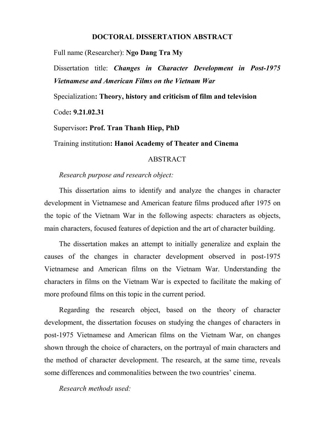## **DOCTORAL DISSERTATION ABSTRACT**

Full name (Researcher): **Ngo Dang Tra My**

Dissertation title: *Changes in Character Development in Post-1975 Vietnamese and American Films on the Vietnam War*

Specialization**: Theory, history and criticism of film and television**

Code**: 9.21.02.31**

Supervisor**: Prof. Tran Thanh Hiep, PhD**

Training institution**: Hanoi Academy of Theater and Cinema**

## ABSTRACT

## *Research purpose and research object:*

This dissertation aims to identify and analyze the changes in character development in Vietnamese and American feature films produced after 1975 on the topic of the Vietnam War in the following aspects: characters as objects, main characters, focused features of depiction and the art of character building.

The dissertation makes an attempt to initially generalize and explain the causes of the changes in character development observed in post-1975 Vietnamese and American films on the Vietnam War. Understanding the characters in films on the Vietnam War is expected to facilitate the making of more profound films on this topic in the current period.

Regarding the research object, based on the theory of character development, the dissertation focuses on studying the changes of characters in post-1975 Vietnamese and American films on the Vietnam War, on changes shown through the choice of characters, on the portrayal of main characters and the method of character development. The research, at the same time, reveals some differences and commonalities between the two countries' cinema.

*Research methods used:*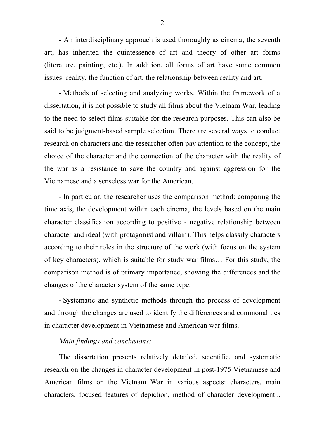- An interdisciplinary approach is used thoroughly as cinema, the seventh art, has inherited the quintessence of art and theory of other art forms (literature, painting, etc.). In addition, all forms of art have some common issues: reality, the function of art, the relationship between reality and art.

- Methods of selecting and analyzing works. Within the framework of a dissertation, it is not possible to study all films about the Vietnam War, leading to the need to select films suitable for the research purposes. This can also be said to be judgment-based sample selection. There are several ways to conduct research on characters and the researcher often pay attention to the concept, the choice of the character and the connection of the character with the reality of the war as a resistance to save the country and against aggression for the Vietnamese and a senseless war for the American.

- In particular, the researcher uses the comparison method: comparing the time axis, the development within each cinema, the levels based on the main character classification according to positive - negative relationship between character and ideal (with protagonist and villain). This helps classify characters according to their roles in the structure of the work (with focus on the system of key characters), which is suitable for study war films… For this study, the comparison method is of primary importance, showing the differences and the changes of the character system of the same type.

- Systematic and synthetic methods through the process of development and through the changes are used to identify the differences and commonalities in character development in Vietnamese and American war films.

## *Main findings and conclusions:*

The dissertation presents relatively detailed, scientific, and systematic research on the changes in character development in post-1975 Vietnamese and American films on the Vietnam War in various aspects: characters, main characters, focused features of depiction, method of character development...